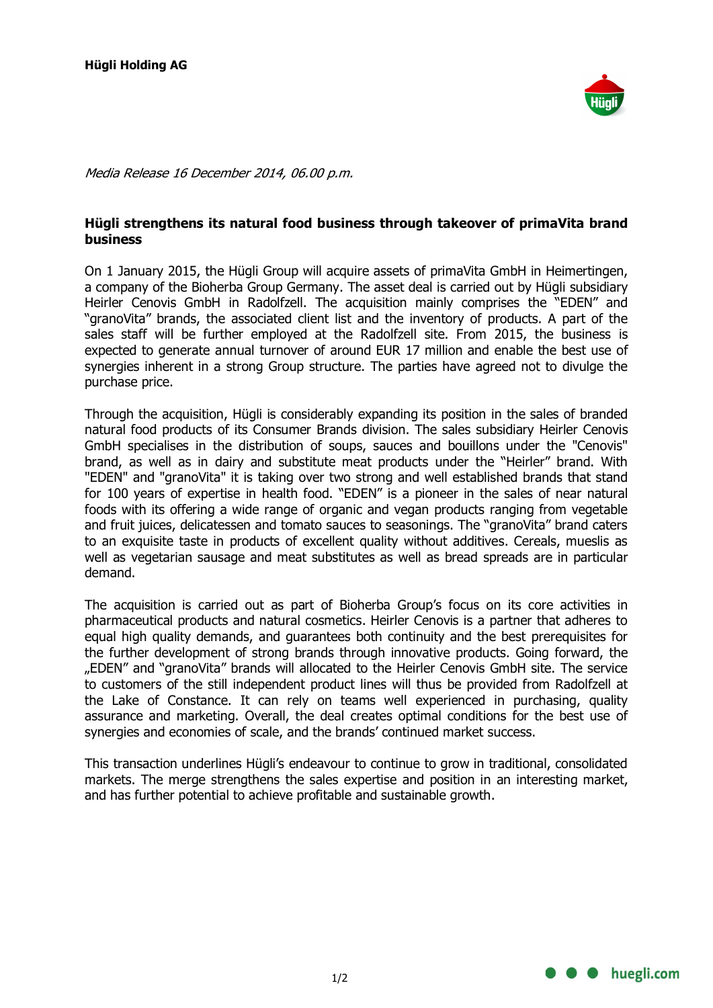

Media Release 16 December 2014, 06.00 p.m.

## Hügli strengthens its natural food business through takeover of primaVita brand business

On 1 January 2015, the Hügli Group will acquire assets of primaVita GmbH in Heimertingen, a company of the Bioherba Group Germany. The asset deal is carried out by Hügli subsidiary Heirler Cenovis GmbH in Radolfzell. The acquisition mainly comprises the "EDEN" and "granoVita" brands, the associated client list and the inventory of products. A part of the sales staff will be further employed at the Radolfzell site. From 2015, the business is expected to generate annual turnover of around EUR 17 million and enable the best use of synergies inherent in a strong Group structure. The parties have agreed not to divulge the purchase price.

Through the acquisition, Hügli is considerably expanding its position in the sales of branded natural food products of its Consumer Brands division. The sales subsidiary Heirler Cenovis GmbH specialises in the distribution of soups, sauces and bouillons under the "Cenovis" brand, as well as in dairy and substitute meat products under the "Heirler" brand. With "EDEN" and "granoVita" it is taking over two strong and well established brands that stand for 100 years of expertise in health food. "EDEN" is a pioneer in the sales of near natural foods with its offering a wide range of organic and vegan products ranging from vegetable and fruit juices, delicatessen and tomato sauces to seasonings. The "granoVita" brand caters to an exquisite taste in products of excellent quality without additives. Cereals, mueslis as well as vegetarian sausage and meat substitutes as well as bread spreads are in particular demand.

The acquisition is carried out as part of Bioherba Group's focus on its core activities in pharmaceutical products and natural cosmetics. Heirler Cenovis is a partner that adheres to equal high quality demands, and guarantees both continuity and the best prerequisites for the further development of strong brands through innovative products. Going forward, the "EDEN" and "granoVita" brands will allocated to the Heirler Cenovis GmbH site. The service to customers of the still independent product lines will thus be provided from Radolfzell at the Lake of Constance. It can rely on teams well experienced in purchasing, quality assurance and marketing. Overall, the deal creates optimal conditions for the best use of synergies and economies of scale, and the brands' continued market success.

This transaction underlines Hügli's endeavour to continue to grow in traditional, consolidated markets. The merge strengthens the sales expertise and position in an interesting market, and has further potential to achieve profitable and sustainable growth.